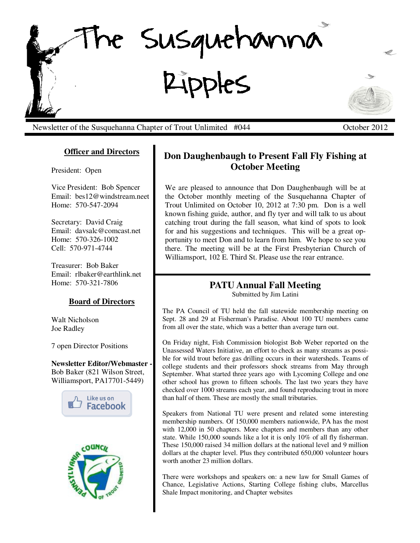

Newsletter of the Susquehanna Chapter of Trout Unlimited #044 October 2012

### **Officer and Directors**

President: Open

Vice President: Bob Spencer Email: bes12@windstream.neet Home: 570-547-2094

Secretary: David Craig Email: davsalc@comcast.net Home: 570-326-1002 Cell: 570-971-4744

Treasurer: Bob Baker Email: rlbaker@earthlink.net Home: 570-321-7806

#### **Board of Directors**

Walt Nicholson Joe Radley

7 open Director Positions

**Newsletter Editor/Webmaster -**  Bob Baker (821 Wilson Street, Williamsport, PA17701-5449)





# **Don Daughenbaugh to Present Fall Fly Fishing at October Meeting**

We are pleased to announce that Don Daughenbaugh will be at the October monthly meeting of the Susquehanna Chapter of Trout Unlimited on October 10, 2012 at 7:30 pm. Don is a well known fishing guide, author, and fly tyer and will talk to us about catching trout during the fall season, what kind of spots to look for and his suggestions and techniques. This will be a great opportunity to meet Don and to learn from him. We hope to see you there. The meeting will be at the First Presbyterian Church of Williamsport, 102 E. Third St. Please use the rear entrance.

# **PATU Annual Fall Meeting**

Submitted by Jim Latini

The PA Council of TU held the fall statewide membership meeting on Sept. 28 and 29 at Fisherman's Paradise. About 100 TU members came from all over the state, which was a better than average turn out.

On Friday night, Fish Commission biologist Bob Weber reported on the Unassessed Waters Initiative, an effort to check as many streams as possible for wild trout before gas drilling occurs in their watersheds. Teams of college students and their professors shock streams from May through September. What started three years ago with Lycoming College and one other school has grown to fifteen schools. The last two years they have checked over 1000 streams each year, and found reproducing trout in more than half of them. These are mostly the small tributaries.

Speakers from National TU were present and related some interesting membership numbers. Of 150,000 members nationwide, PA has the most with 12,000 in 50 chapters. More chapters and members than any other state. While 150,000 sounds like a lot it is only 10% of all fly fisherman. These 150,000 raised 34 million dollars at the national level and 9 million dollars at the chapter level. Plus they contributed 650,000 volunteer hours worth another 23 million dollars.

There were workshops and speakers on: a new law for Small Games of Chance, Legislative Actions, Starting College fishing clubs, Marcellus Shale Impact monitoring, and Chapter websites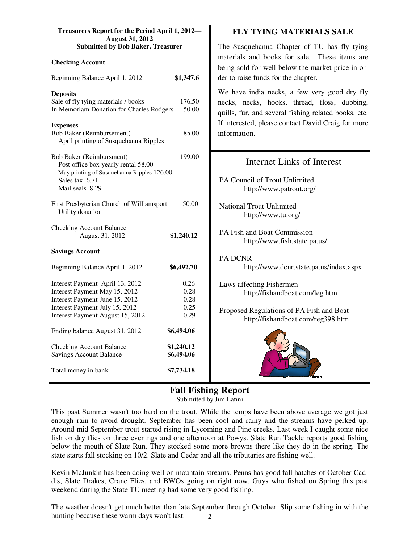| Treasurers Report for the Period April 1, 2012-<br><b>August 31, 2012</b>                                                                                                |                                      | <b>FLY TYING MATERIALS SALE</b>                                                                                                                      |  |
|--------------------------------------------------------------------------------------------------------------------------------------------------------------------------|--------------------------------------|------------------------------------------------------------------------------------------------------------------------------------------------------|--|
| <b>Submitted by Bob Baker, Treasurer</b>                                                                                                                                 |                                      | The Susquehanna Chapter of TU has fly tying                                                                                                          |  |
| <b>Checking Account</b>                                                                                                                                                  |                                      | materials and books for sale. These items are<br>being sold for well below the market price in or-                                                   |  |
| Beginning Balance April 1, 2012                                                                                                                                          | \$1,347.6                            | der to raise funds for the chapter.                                                                                                                  |  |
| <b>Deposits</b><br>Sale of fly tying materials / books<br>In Memoriam Donation for Charles Rodgers                                                                       | 176.50<br>50.00                      | We have india necks, a few very good dry fly<br>necks, necks, hooks, thread, floss, dubbing,<br>quills, fur, and several fishing related books, etc. |  |
| <b>Expenses</b><br>Bob Baker (Reimbursement)<br>April printing of Susquehanna Ripples                                                                                    | 85.00                                | If interested, please contact David Craig for more<br>information.                                                                                   |  |
| Bob Baker (Reimbursment)<br>Post office box yearly rental 58.00<br>May printing of Susquehanna Ripples 126.00                                                            | 199.00                               | <b>Internet Links of Interest</b>                                                                                                                    |  |
| Sales tax 6.71<br>Mail seals 8.29                                                                                                                                        |                                      | PA Council of Trout Unlimited<br>http://www.patrout.org/                                                                                             |  |
| First Presbyterian Church of Williamsport<br>Utility donation                                                                                                            | 50.00                                | <b>National Trout Unlimited</b><br>http://www.tu.org/                                                                                                |  |
| <b>Checking Account Balance</b><br>August 31, 2012                                                                                                                       | \$1,240.12                           | PA Fish and Boat Commission<br>http://www.fish.state.pa.us/                                                                                          |  |
| <b>Savings Account</b>                                                                                                                                                   |                                      | PA DCNR                                                                                                                                              |  |
| Beginning Balance April 1, 2012                                                                                                                                          | \$6,492.70                           | http://www.dcnr.state.pa.us/index.aspx                                                                                                               |  |
| Interest Payment April 13, 2012<br>Interest Payment May 15, 2012<br>Interest Payment June 15, 2012<br>Interest Payment July 15, 2012<br>Interest Payment August 15, 2012 | 0.26<br>0.28<br>0.28<br>0.25<br>0.29 | Laws affecting Fishermen<br>http://fishandboat.com/leg.htm<br>Proposed Regulations of PA Fish and Boat                                               |  |
| Ending balance August 31, 2012                                                                                                                                           | \$6,494.06                           | http://fishandboat.com/reg398.htm                                                                                                                    |  |
| <b>Checking Account Balance</b><br><b>Savings Account Balance</b>                                                                                                        | \$1,240.12<br>\$6,494.06             |                                                                                                                                                      |  |
| Total money in bank                                                                                                                                                      | \$7,734.18                           |                                                                                                                                                      |  |

## **Fall Fishing Report**

Submitted by Jim Latini

This past Summer wasn't too hard on the trout. While the temps have been above average we got just enough rain to avoid drought. September has been cool and rainy and the streams have perked up. Around mid September trout started rising in Lycoming and Pine creeks. Last week I caught some nice fish on dry flies on three evenings and one afternoon at Powys. Slate Run Tackle reports good fishing below the mouth of Slate Run. They stocked some more browns there like they do in the spring. The state starts fall stocking on 10/2. Slate and Cedar and all the tributaries are fishing well.

Kevin McJunkin has been doing well on mountain streams. Penns has good fall hatches of October Caddis, Slate Drakes, Crane Flies, and BWOs going on right now. Guys who fished on Spring this past weekend during the State TU meeting had some very good fishing.

2 The weather doesn't get much better than late September through October. Slip some fishing in with the hunting because these warm days won't last.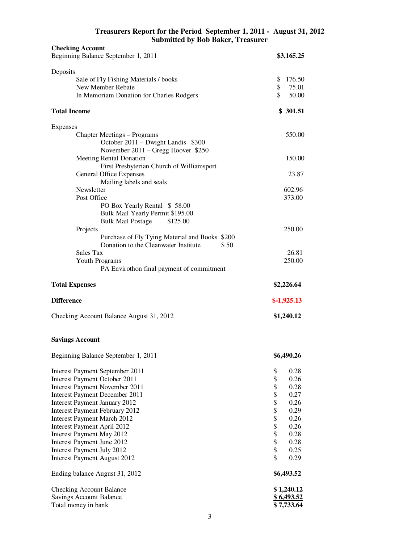| Treasurers Report for the Period September 1, 2011 - August 31, 2012 |  |
|----------------------------------------------------------------------|--|
| <b>Submitted by Bob Baker, Treasurer</b>                             |  |

| <b>Checking Account</b>                                              |                          |
|----------------------------------------------------------------------|--------------------------|
| Beginning Balance September 1, 2011                                  | \$3,165.25               |
| Deposits                                                             |                          |
| Sale of Fly Fishing Materials / books                                | \$<br>176.50             |
| New Member Rebate                                                    | \$<br>75.01              |
| In Memoriam Donation for Charles Rodgers                             | \$<br>50.00              |
| <b>Total Income</b>                                                  | \$301.51                 |
| Expenses                                                             |                          |
| <b>Chapter Meetings – Programs</b>                                   | 550.00                   |
| October 2011 – Dwight Landis \$300                                   |                          |
| November 2011 – Gregg Hoover \$250                                   | 150.00                   |
| Meeting Rental Donation<br>First Presbyterian Church of Williamsport |                          |
| General Office Expenses                                              | 23.87                    |
| Mailing labels and seals                                             |                          |
| Newsletter                                                           | 602.96                   |
| Post Office                                                          | 373.00                   |
| PO Box Yearly Rental \$58.00                                         |                          |
| Bulk Mail Yearly Permit \$195.00                                     |                          |
| <b>Bulk Mail Postage</b><br>\$125.00                                 | 250.00                   |
| Projects<br>Purchase of Fly Tying Material and Books \$200           |                          |
| Donation to the Cleanwater Institute<br>\$50                         |                          |
| Sales Tax                                                            | 26.81                    |
| Youth Programs                                                       | 250.00                   |
| PA Envirothon final payment of commitment                            |                          |
|                                                                      |                          |
| <b>Total Expenses</b>                                                | \$2,226.64               |
| <b>Difference</b>                                                    |                          |
|                                                                      | $$-1,925.13$             |
| Checking Account Balance August 31, 2012                             | \$1,240.12               |
| <b>Savings Account</b>                                               |                          |
| Beginning Balance September 1, 2011                                  | \$6,490.26               |
| Interest Payment September 2011                                      | \$<br>0.28               |
| <b>Interest Payment October 2011</b>                                 | \$<br>0.26               |
| <b>Interest Payment November 2011</b>                                | \$<br>0.28               |
| <b>Interest Payment December 2011</b>                                | \$<br>0.27               |
| <b>Interest Payment January 2012</b>                                 | \$<br>0.26               |
| <b>Interest Payment February 2012</b>                                | \$<br>0.29               |
| <b>Interest Payment March 2012</b>                                   | \$<br>0.26               |
| Interest Payment April 2012<br><b>Interest Payment May 2012</b>      | \$<br>0.26<br>\$<br>0.28 |
| Interest Payment June 2012                                           | \$<br>0.28               |
| Interest Payment July 2012                                           | \$<br>0.25               |
| <b>Interest Payment August 2012</b>                                  | \$<br>0.29               |
| Ending balance August 31, 2012                                       | \$6,493.52               |
| <b>Checking Account Balance</b>                                      | \$1,240.12               |
| <b>Savings Account Balance</b><br>Total money in bank                | \$6,493.52<br>\$7,733.64 |